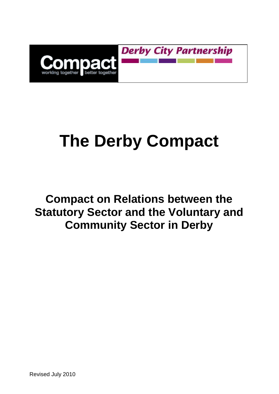

**Derby City Partnership** 

# **The Derby Compact**

# **Compact on Relations between the Statutory Sector and the Voluntary and Community Sector in Derby**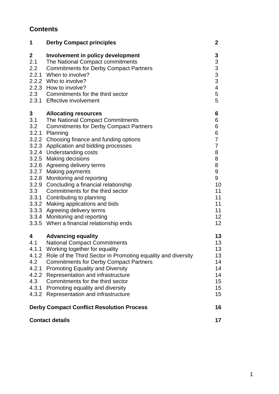## **Contents**

| 1                                                          | <b>Derby Compact principles</b>                                                                                                                                                                                                                                                                                                                                                                                                                                                                                                                                                                                                                        | $\boldsymbol{2}$                                                                                                        |
|------------------------------------------------------------|--------------------------------------------------------------------------------------------------------------------------------------------------------------------------------------------------------------------------------------------------------------------------------------------------------------------------------------------------------------------------------------------------------------------------------------------------------------------------------------------------------------------------------------------------------------------------------------------------------------------------------------------------------|-------------------------------------------------------------------------------------------------------------------------|
| $\boldsymbol{2}$<br>2.1                                    | Involvement in policy development<br>The National Compact commitments<br>2.2 Commitments for Derby Compact Partners<br>2.2.1 When to involve?<br>2.2.2 Who to involve?<br>2.2.3 How to involve?<br>2.3 Commitments for the third sector<br>2.3.1 Effective involvement                                                                                                                                                                                                                                                                                                                                                                                 | 3<br>$\begin{array}{c}\n33 \\ 33 \\ 4\n\end{array}$<br>5<br>5                                                           |
| 3 <sup>7</sup><br>3.1<br>3.2<br>3.3                        | <b>Allocating resources</b><br>The National Compact Commitments<br><b>Commitments for Derby Compact Partners</b><br>3.2.1 Planning<br>3.2.2 Choosing finance and funding options<br>3.2.3 Application and bidding processes<br>3.2.4 Understanding costs<br>3.2.5 Making decisions<br>3.2.6 Agreeing delivery terms<br>3.2.7 Making payments<br>3.2.8 Monitoring and reporting<br>3.2.9 Concluding a financial relationship<br>Commitments for the third sector<br>3.3.1 Contributing to planning<br>3.3.2 Making applications and bids<br>3.3.3 Agreeing delivery terms<br>3.3.4 Monitoring and reporting<br>3.3.5 When a financial relationship ends | 6<br>6<br>6<br>6<br>$\overline{7}$<br>$\overline{7}$<br>8<br>8<br>8<br>9<br>9<br>10<br>11<br>11<br>11<br>11<br>12<br>12 |
| 4<br>4.1<br>4.2<br>4.2.1<br>4.2.2<br>4.3<br>4.3.1<br>4.3.2 | <b>Advancing equality</b><br><b>National Compact Commitments</b><br>4.1.1 Working together for equality<br>4.1.2 Role of the Third Sector in Promoting equality and diversity<br><b>Commitments for Derby Compact Partners</b><br><b>Promoting Equality and Diversity</b><br>Representation and infrastructure<br>Commitments for the third sector<br>Promoting equality and diversity<br>Representation and infrastructure                                                                                                                                                                                                                            | 13<br>13<br>13<br>13<br>14<br>14<br>14<br>15<br>15<br>15                                                                |
| <b>Derby Compact Conflict Resolution Process</b>           |                                                                                                                                                                                                                                                                                                                                                                                                                                                                                                                                                                                                                                                        | 16                                                                                                                      |
| <b>Contact details</b>                                     |                                                                                                                                                                                                                                                                                                                                                                                                                                                                                                                                                                                                                                                        | 17                                                                                                                      |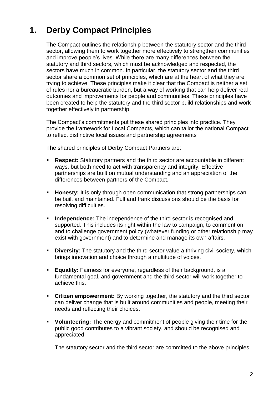# **1. Derby Compact Principles**

The Compact outlines the relationship between the statutory sector and the third sector, allowing them to work together more effectively to strengthen communities and improve people's lives. While there are many differences between the statutory and third sectors, which must be acknowledged and respected, the sectors have much in common. In particular, the statutory sector and the third sector share a common set of principles, which are at the heart of what they are trying to achieve. These principles make it clear that the Compact is neither a set of rules nor a bureaucratic burden, but a way of working that can help deliver real outcomes and improvements for people and communities. These principles have been created to help the statutory and the third sector build relationships and work together effectively in partnership.

The Compact's commitments put these shared principles into practice. They provide the framework for Local Compacts, which can tailor the national Compact to reflect distinctive local issues and partnership agreements

The shared principles of Derby Compact Partners are:

- **Respect:** Statutory partners and the third sector are accountable in different ways, but both need to act with transparency and integrity. Effective partnerships are built on mutual understanding and an appreciation of the differences between partners of the Compact.
- **Honesty:** It is only through open communication that strong partnerships can be built and maintained. Full and frank discussions should be the basis for resolving difficulties.
- **Independence:** The independence of the third sector is recognised and supported. This includes its right within the law to campaign, to comment on and to challenge government policy (whatever funding or other relationship may exist with government) and to determine and manage its own affairs.
- **Diversity:** The statutory and the third sector value a thriving civil society, which brings innovation and choice through a multitude of voices.
- **Equality:** Fairness for everyone, regardless of their background, is a fundamental goal, and government and the third sector will work together to achieve this.
- **Citizen empowerment:** By working together, the statutory and the third sector can deliver change that is built around communities and people, meeting their needs and reflecting their choices.
- **Volunteering:** The energy and commitment of people giving their time for the public good contributes to a vibrant society, and should be recognised and appreciated.

The statutory sector and the third sector are committed to the above principles.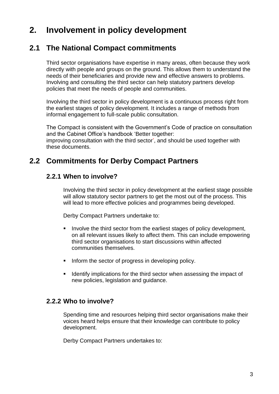# **2. Involvement in policy development**

## **2.1 The National Compact commitments**

Third sector organisations have expertise in many areas, often because they work directly with people and groups on the ground. This allows them to understand the needs of their beneficiaries and provide new and effective answers to problems. Involving and consulting the third sector can help statutory partners develop policies that meet the needs of people and communities.

Involving the third sector in policy development is a continuous process right from the earliest stages of policy development. It includes a range of methods from informal engagement to full-scale public consultation.

The Compact is consistent with the Government's Code of practice on consultation and the Cabinet Office's handbook 'Better together: improving consultation with the third sector', and should be used together with these documents.

# **2.2 Commitments for Derby Compact Partners**

#### **2.2.1 When to involve?**

Involving the third sector in policy development at the earliest stage possible will allow statutory sector partners to get the most out of the process. This will lead to more effective policies and programmes being developed.

Derby Compact Partners undertake to:

- Involve the third sector from the earliest stages of policy development, on all relevant issues likely to affect them. This can include empowering third sector organisations to start discussions within affected communities themselves.
- Inform the sector of progress in developing policy.
- I Identify implications for the third sector when assessing the impact of new policies, legislation and guidance.

#### **2.2.2 Who to involve?**

Spending time and resources helping third sector organisations make their voices heard helps ensure that their knowledge can contribute to policy development.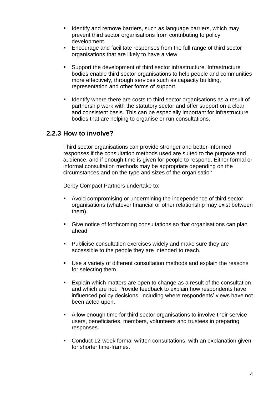- **If Identify and remove barriers, such as language barriers, which may** prevent third sector organisations from contributing to policy development.
- **Encourage and facilitate responses from the full range of third sector** organisations that are likely to have a view.
- Support the development of third sector infrastructure. Infrastructure bodies enable third sector organisations to help people and communities more effectively, through services such as capacity building, representation and other forms of support.
- I Identify where there are costs to third sector organisations as a result of partnership work with the statutory sector and offer support on a clear and consistent basis. This can be especially important for infrastructure bodies that are helping to organise or run consultations.

#### **2.2.3 How to involve?**

Third sector organisations can provide stronger and better-informed responses if the consultation methods used are suited to the purpose and audience, and if enough time is given for people to respond. Either formal or informal consultation methods may be appropriate depending on the circumstances and on the type and sizes of the organisation

- Avoid compromising or undermining the independence of third sector organisations (whatever financial or other relationship may exist between them).
- Give notice of forthcoming consultations so that organisations can plan ahead.
- **Publicise consultation exercises widely and make sure they are** accessible to the people they are intended to reach.
- Use a variety of different consultation methods and explain the reasons for selecting them.
- **Explain which matters are open to change as a result of the consultation** and which are not. Provide feedback to explain how respondents have influenced policy decisions, including where respondents' views have not been acted upon.
- Allow enough time for third sector organisations to involve their service users, beneficiaries, members, volunteers and trustees in preparing responses.
- Conduct 12-week formal written consultations, with an explanation given for shorter time-frames.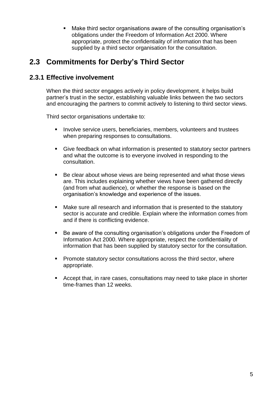Make third sector organisations aware of the consulting organisation's obligations under the Freedom of Information Act 2000. Where appropriate, protect the confidentiality of information that has been supplied by a third sector organisation for the consultation.

# **2.3 Commitments for Derby's Third Sector**

#### **2.3.1 Effective involvement**

When the third sector engages actively in policy development, it helps build partner's trust in the sector, establishing valuable links between the two sectors and encouraging the partners to commit actively to listening to third sector views.

- **Involve service users, beneficiaries, members, volunteers and trustees** when preparing responses to consultations.
- Give feedback on what information is presented to statutory sector partners and what the outcome is to everyone involved in responding to the consultation.
- Be clear about whose views are being represented and what those views are. This includes explaining whether views have been gathered directly (and from what audience), or whether the response is based on the organisation's knowledge and experience of the issues.
- Make sure all research and information that is presented to the statutory sector is accurate and credible. Explain where the information comes from and if there is conflicting evidence.
- Be aware of the consulting organisation's obligations under the Freedom of Information Act 2000. Where appropriate, respect the confidentiality of information that has been supplied by statutory sector for the consultation.
- **Promote statutory sector consultations across the third sector, where** appropriate.
- Accept that, in rare cases, consultations may need to take place in shorter time-frames than 12 weeks.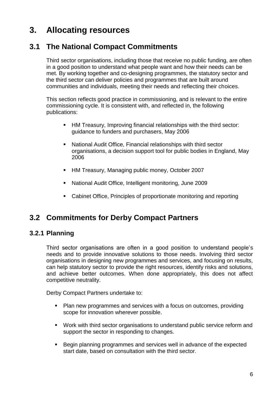# **3. Allocating resources**

# **3.1 The National Compact Commitments**

Third sector organisations, including those that receive no public funding, are often in a good position to understand what people want and how their needs can be met. By working together and co-designing programmes, the statutory sector and the third sector can deliver policies and programmes that are built around communities and individuals, meeting their needs and reflecting their choices.

This section reflects good practice in commissioning, and is relevant to the entire commissioning cycle. It is consistent with, and reflected in, the following publications:

- HM Treasury, Improving financial relationships with the third sector: guidance to funders and purchasers, May 2006
- National Audit Office, Financial relationships with third sector organisations, a decision support tool for public bodies in England, May 2006
- **HM Treasury, Managing public money, October 2007**
- National Audit Office, Intelligent monitoring, June 2009
- Cabinet Office, Principles of proportionate monitoring and reporting

## **3.2 Commitments for Derby Compact Partners**

#### **3.2.1 Planning**

Third sector organisations are often in a good position to understand people's needs and to provide innovative solutions to those needs. Involving third sector organisations in designing new programmes and services, and focusing on results, can help statutory sector to provide the right resources, identify risks and solutions, and achieve better outcomes. When done appropriately, this does not affect competitive neutrality.

- Plan new programmes and services with a focus on outcomes, providing scope for innovation wherever possible.
- Work with third sector organisations to understand public service reform and support the sector in responding to changes.
- **Begin planning programmes and services well in advance of the expected** start date, based on consultation with the third sector.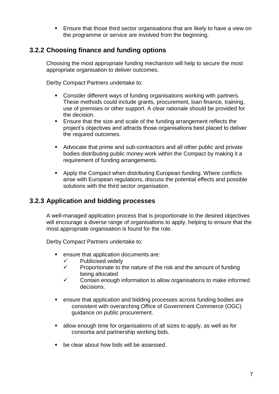**Ensure that those third sector organisations that are likely to have a view on** the programme or service are involved from the beginning.

#### **3.2.2 Choosing finance and funding options**

Choosing the most appropriate funding mechanism will help to secure the most appropriate organisation to deliver outcomes.

Derby Compact Partners undertake to:

- Consider different ways of funding organisations working with partners. These methods could include grants, procurement, loan finance, training, use of premises or other support. A clear rationale should be provided for the decision.
- Ensure that the size and scale of the funding arrangement reflects the project's objectives and attracts those organisations best placed to deliver the required outcomes.
- Advocate that prime and sub-contractors and all other public and private bodies distributing public money work within the Compact by making it a requirement of funding arrangements.
- Apply the Compact when distributing European funding. Where conflicts arise with European regulations, discuss the potential effects and possible solutions with the third sector organisation.

#### **3.2.3 Application and bidding processes**

A well-managed application process that is proportionate to the desired objectives will encourage a diverse range of organisations to apply, helping to ensure that the most appropriate organisation is found for the role.

- ensure that application documents are:
	- $\checkmark$  Publicised widely
	- $\checkmark$  Proportionate to the nature of the risk and the amount of funding being allocated
	- $\checkmark$  Contain enough information to allow organisations to make informed decisions.
- ensure that application and bidding processes across funding bodies are consistent with overarching Office of Government Commerce (OGC) guidance on public procurement.
- allow enough time for organisations of all sizes to apply, as well as for consortia and partnership working bids.
- be clear about how bids will be assessed.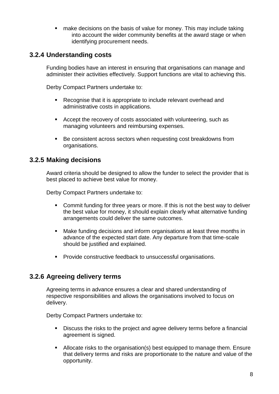**nake decisions on the basis of value for money. This may include taking** into account the wider community benefits at the award stage or when identifying procurement needs.

#### **3.2.4 Understanding costs**

Funding bodies have an interest in ensuring that organisations can manage and administer their activities effectively. Support functions are vital to achieving this.

Derby Compact Partners undertake to:

- Recognise that it is appropriate to include relevant overhead and administrative costs in applications.
- **Accept the recovery of costs associated with volunteering, such as** managing volunteers and reimbursing expenses.
- Be consistent across sectors when requesting cost breakdowns from organisations.

#### **3.2.5 Making decisions**

Award criteria should be designed to allow the funder to select the provider that is best placed to achieve best value for money.

Derby Compact Partners undertake to:

- Commit funding for three years or more. If this is not the best way to deliver the best value for money, it should explain clearly what alternative funding arrangements could deliver the same outcomes.
- Make funding decisions and inform organisations at least three months in advance of the expected start date. Any departure from that time-scale should be justified and explained.
- **Provide constructive feedback to unsuccessful organisations.**

#### **3.2.6 Agreeing delivery terms**

Agreeing terms in advance ensures a clear and shared understanding of respective responsibilities and allows the organisations involved to focus on delivery.

- Discuss the risks to the project and agree delivery terms before a financial agreement is signed.
- Allocate risks to the organisation(s) best equipped to manage them. Ensure that delivery terms and risks are proportionate to the nature and value of the opportunity.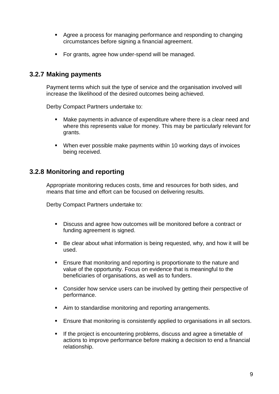- Agree a process for managing performance and responding to changing circumstances before signing a financial agreement.
- For grants, agree how under-spend will be managed.

#### **3.2.7 Making payments**

Payment terms which suit the type of service and the organisation involved will increase the likelihood of the desired outcomes being achieved.

Derby Compact Partners undertake to:

- Make payments in advance of expenditure where there is a clear need and where this represents value for money. This may be particularly relevant for grants.
- When ever possible make payments within 10 working days of invoices being received.

#### **3.2.8 Monitoring and reporting**

Appropriate monitoring reduces costs, time and resources for both sides, and means that time and effort can be focused on delivering results.

- Discuss and agree how outcomes will be monitored before a contract or funding agreement is signed.
- Be clear about what information is being requested, why, and how it will be used.
- **Ensure that monitoring and reporting is proportionate to the nature and** value of the opportunity. Focus on evidence that is meaningful to the beneficiaries of organisations, as well as to funders.
- **Consider how service users can be involved by getting their perspective of** performance.
- Aim to standardise monitoring and reporting arrangements.
- Ensure that monitoring is consistently applied to organisations in all sectors.
- If the project is encountering problems, discuss and agree a timetable of actions to improve performance before making a decision to end a financial relationship.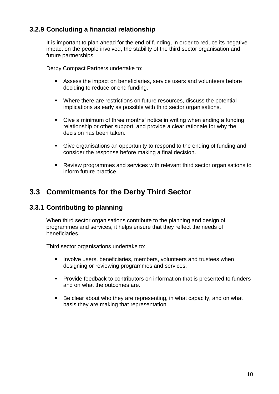#### **3.2.9 Concluding a financial relationship**

It is important to plan ahead for the end of funding, in order to reduce its negative impact on the people involved, the stability of the third sector organisation and future partnerships.

Derby Compact Partners undertake to:

- Assess the impact on beneficiaries, service users and volunteers before deciding to reduce or end funding.
- Where there are restrictions on future resources, discuss the potential implications as early as possible with third sector organisations.
- Give a minimum of three months' notice in writing when ending a funding relationship or other support, and provide a clear rationale for why the decision has been taken.
- Give organisations an opportunity to respond to the ending of funding and consider the response before making a final decision.
- Review programmes and services with relevant third sector organisations to inform future practice.

## **3.3 Commitments for the Derby Third Sector**

#### **3.3.1 Contributing to planning**

When third sector organisations contribute to the planning and design of programmes and services, it helps ensure that they reflect the needs of beneficiaries.

- **Involve users, beneficiaries, members, volunteers and trustees when** designing or reviewing programmes and services.
- **Provide feedback to contributors on information that is presented to funders** and on what the outcomes are.
- Be clear about who they are representing, in what capacity, and on what basis they are making that representation.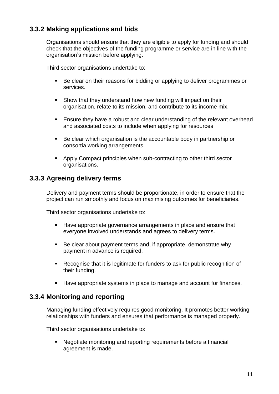#### **3.3.2 Making applications and bids**

Organisations should ensure that they are eligible to apply for funding and should check that the objectives of the funding programme or service are in line with the organisation's mission before applying.

Third sector organisations undertake to:

- Be clear on their reasons for bidding or applying to deliver programmes or services.
- Show that they understand how new funding will impact on their organisation, relate to its mission, and contribute to its income mix.
- **Ensure they have a robust and clear understanding of the relevant overhead** and associated costs to include when applying for resources
- Be clear which organisation is the accountable body in partnership or consortia working arrangements.
- Apply Compact principles when sub-contracting to other third sector organisations.

#### **3.3.3 Agreeing delivery terms**

Delivery and payment terms should be proportionate, in order to ensure that the project can run smoothly and focus on maximising outcomes for beneficiaries.

Third sector organisations undertake to:

- Have appropriate governance arrangements in place and ensure that everyone involved understands and agrees to delivery terms.
- Be clear about payment terms and, if appropriate, demonstrate why payment in advance is required.
- Recognise that it is legitimate for funders to ask for public recognition of their funding.
- Have appropriate systems in place to manage and account for finances.

#### **3.3.4 Monitoring and reporting**

Managing funding effectively requires good monitoring. It promotes better working relationships with funders and ensures that performance is managed properly.

Third sector organisations undertake to:

• Negotiate monitoring and reporting requirements before a financial agreement is made.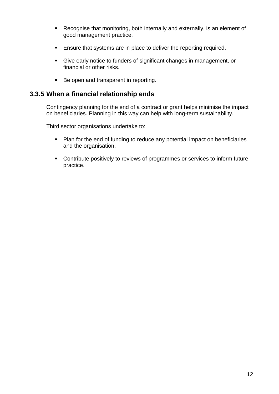- Recognise that monitoring, both internally and externally, is an element of good management practice.
- **Ensure that systems are in place to deliver the reporting required.**
- Give early notice to funders of significant changes in management, or financial or other risks.
- Be open and transparent in reporting.

#### **3.3.5 When a financial relationship ends**

Contingency planning for the end of a contract or grant helps minimise the impact on beneficiaries. Planning in this way can help with long-term sustainability.

- Plan for the end of funding to reduce any potential impact on beneficiaries and the organisation.
- Contribute positively to reviews of programmes or services to inform future practice.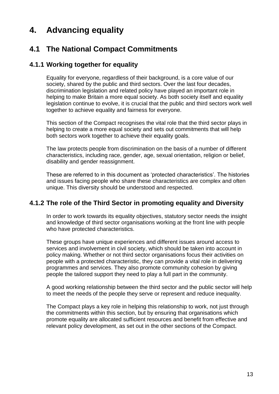# **4. Advancing equality**

# **4.1 The National Compact Commitments**

#### **4.1.1 Working together for equality**

Equality for everyone, regardless of their background, is a core value of our society, shared by the public and third sectors. Over the last four decades, discrimination legislation and related policy have played an important role in helping to make Britain a more equal society. As both society itself and equality legislation continue to evolve, it is crucial that the public and third sectors work well together to achieve equality and fairness for everyone.

This section of the Compact recognises the vital role that the third sector plays in helping to create a more equal society and sets out commitments that will help both sectors work together to achieve their equality goals.

The law protects people from discrimination on the basis of a number of different characteristics, including race, gender, age, sexual orientation, religion or belief, disability and gender reassignment.

These are referred to in this document as 'protected characteristics'. The histories and issues facing people who share these characteristics are complex and often unique. This diversity should be understood and respected.

#### **4.1.2 The role of the Third Sector in promoting equality and Diversity**

In order to work towards its equality objectives, statutory sector needs the insight and knowledge of third sector organisations working at the front line with people who have protected characteristics.

These groups have unique experiences and different issues around access to services and involvement in civil society, which should be taken into account in policy making. Whether or not third sector organisations focus their activities on people with a protected characteristic, they can provide a vital role in delivering programmes and services. They also promote community cohesion by giving people the tailored support they need to play a full part in the community.

A good working relationship between the third sector and the public sector will help to meet the needs of the people they serve or represent and reduce inequality.

The Compact plays a key role in helping this relationship to work, not just through the commitments within this section, but by ensuring that organisations which promote equality are allocated sufficient resources and benefit from effective and relevant policy development, as set out in the other sections of the Compact.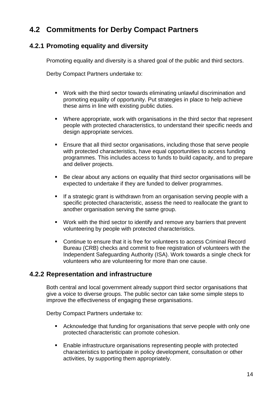# **4.2 Commitments for Derby Compact Partners**

#### **4.2.1 Promoting equality and diversity**

Promoting equality and diversity is a shared goal of the public and third sectors.

Derby Compact Partners undertake to:

- Work with the third sector towards eliminating unlawful discrimination and promoting equality of opportunity. Put strategies in place to help achieve these aims in line with existing public duties.
- Where appropriate, work with organisations in the third sector that represent people with protected characteristics, to understand their specific needs and design appropriate services.
- Ensure that all third sector organisations, including those that serve people with protected characteristics, have equal opportunities to access funding programmes. This includes access to funds to build capacity, and to prepare and deliver projects.
- Be clear about any actions on equality that third sector organisations will be expected to undertake if they are funded to deliver programmes.
- If a strategic grant is withdrawn from an organisation serving people with a specific protected characteristic, assess the need to reallocate the grant to another organisation serving the same group.
- Work with the third sector to identify and remove any barriers that prevent volunteering by people with protected characteristics.
- Continue to ensure that it is free for volunteers to access Criminal Record Bureau (CRB) checks and commit to free registration of volunteers with the Independent Safeguarding Authority (ISA). Work towards a single check for volunteers who are volunteering for more than one cause.

#### **4.2.2 Representation and infrastructure**

Both central and local government already support third sector organisations that give a voice to diverse groups. The public sector can take some simple steps to improve the effectiveness of engaging these organisations.

- Acknowledge that funding for organisations that serve people with only one protected characteristic can promote cohesion.
- Enable infrastructure organisations representing people with protected characteristics to participate in policy development, consultation or other activities, by supporting them appropriately.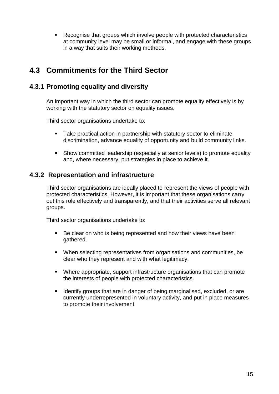Recognise that groups which involve people with protected characteristics at community level may be small or informal, and engage with these groups in a way that suits their working methods.

# **4.3 Commitments for the Third Sector**

#### **4.3.1 Promoting equality and diversity**

An important way in which the third sector can promote equality effectively is by working with the statutory sector on equality issues.

Third sector organisations undertake to:

- **Take practical action in partnership with statutory sector to eliminate** discrimination, advance equality of opportunity and build community links.
- Show committed leadership (especially at senior levels) to promote equality and, where necessary, put strategies in place to achieve it.

#### **4.3.2 Representation and infrastructure**

Third sector organisations are ideally placed to represent the views of people with protected characteristics. However, it is important that these organisations carry out this role effectively and transparently, and that their activities serve all relevant groups.

- Be clear on who is being represented and how their views have been gathered.
- When selecting representatives from organisations and communities, be clear who they represent and with what legitimacy.
- Where appropriate, support infrastructure organisations that can promote the interests of people with protected characteristics.
- I dentify groups that are in danger of being marginalised, excluded, or are currently underrepresented in voluntary activity, and put in place measures to promote their involvement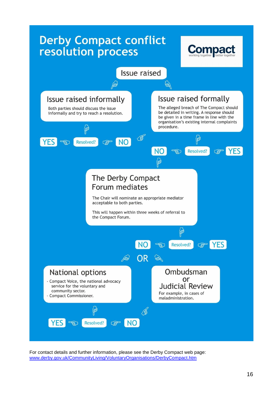

For contact details and further information, please see the Derby Compact web page: [www.derby.gov.uk/CommunityLiving/VoluntaryOrganisations/DerbyCompact.htm](http://www.derby.gov.uk/CommunityLiving/VoluntaryOrganisations/DerbyCompact.htm)